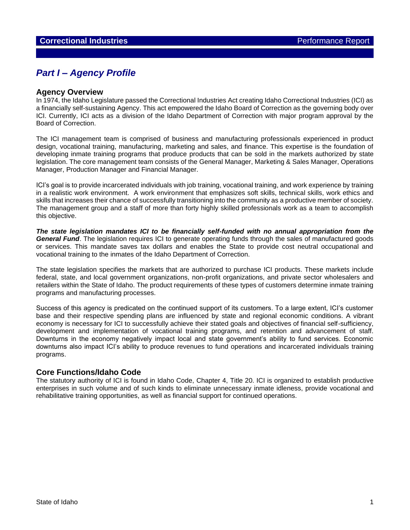## *Part I – Agency Profile*

#### **Agency Overview**

In 1974, the Idaho Legislature passed the Correctional Industries Act creating Idaho Correctional Industries (ICI) as a financially self-sustaining Agency. This act empowered the Idaho Board of Correction as the governing body over ICI. Currently, ICI acts as a division of the Idaho Department of Correction with major program approval by the Board of Correction.

The ICI management team is comprised of business and manufacturing professionals experienced in product design, vocational training, manufacturing, marketing and sales, and finance. This expertise is the foundation of developing inmate training programs that produce products that can be sold in the markets authorized by state legislation. The core management team consists of the General Manager, Marketing & Sales Manager, Operations Manager, Production Manager and Financial Manager.

ICI's goal is to provide incarcerated individuals with job training, vocational training, and work experience by training in a realistic work environment. A work environment that emphasizes soft skills, technical skills, work ethics and skills that increases their chance of successfully transitioning into the community as a productive member of society. The management group and a staff of more than forty highly skilled professionals work as a team to accomplish this objective.

*The state legislation mandates ICI to be financially self-funded with no annual appropriation from the General Fund*. The legislation requires ICI to generate operating funds through the sales of manufactured goods or services. This mandate saves tax dollars and enables the State to provide cost neutral occupational and vocational training to the inmates of the Idaho Department of Correction.

The state legislation specifies the markets that are authorized to purchase ICI products. These markets include federal, state, and local government organizations, non-profit organizations, and private sector wholesalers and retailers within the State of Idaho. The product requirements of these types of customers determine inmate training programs and manufacturing processes.

Success of this agency is predicated on the continued support of its customers. To a large extent, ICI's customer base and their respective spending plans are influenced by state and regional economic conditions. A vibrant economy is necessary for ICI to successfully achieve their stated goals and objectives of financial self-sufficiency, development and implementation of vocational training programs, and retention and advancement of staff. Downturns in the economy negatively impact local and state government's ability to fund services. Economic downturns also impact ICI's ability to produce revenues to fund operations and incarcerated individuals training programs.

### **Core Functions/Idaho Code**

The statutory authority of ICI is found in Idaho Code, Chapter 4, Title 20. ICI is organized to establish productive enterprises in such volume and of such kinds to eliminate unnecessary inmate idleness, provide vocational and rehabilitative training opportunities, as well as financial support for continued operations.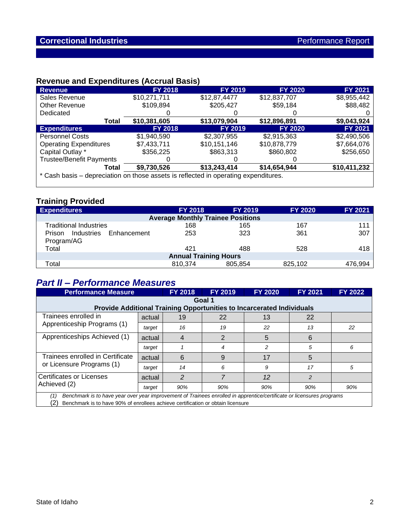### **Revenue and Expenditures (Accrual Basis)**

| <b>Revenue</b>                                                                      | <b>FY 2018</b> | <b>FY 2019</b> | <b>FY 2020</b> | <b>FY 2021</b> |
|-------------------------------------------------------------------------------------|----------------|----------------|----------------|----------------|
| Sales Revenue                                                                       | \$10,271,711   | \$12,87,4477   | \$12,837,707   | \$8,955,442    |
| Other Revenue                                                                       | \$109,894      | \$205,427      | \$59,184       | \$88,482       |
| Dedicated                                                                           |                |                |                |                |
| Total                                                                               | \$10,381,605   | \$13,079,904   | \$12,896,891   | \$9,043,924    |
| <b>Expenditures</b>                                                                 | <b>FY 2018</b> | <b>FY 2019</b> | <b>FY 2020</b> | <b>FY 2021</b> |
| <b>Personnel Costs</b>                                                              | \$1,940,590    | \$2,307,955    | \$2,915,363    | \$2,490,506    |
| <b>Operating Expenditures</b>                                                       | \$7,433,711    | \$10,151,146   | \$10,878,779   | \$7,664,076    |
| Capital Outlay *                                                                    | \$356,225      | \$863,313      | \$860,802      | \$256,650      |
| <b>Trustee/Benefit Payments</b>                                                     |                |                |                |                |
| Total                                                                               | \$9,730,526    | \$13,243,414   | \$14,654,944   | \$10,411,232   |
| * Cash basis – depreciation on those assets is reflected in operating expenditures. |                |                |                |                |

### **Training Provided**

| <b>Expenditures</b>                        | <b>FY 2018</b> | <b>FY 2019</b> | <b>FY 2020</b> | <b>FY 2021</b> |  |  |  |
|--------------------------------------------|----------------|----------------|----------------|----------------|--|--|--|
| <b>Average Monthly Trainee Positions</b>   |                |                |                |                |  |  |  |
| <b>Traditional Industries</b>              | 168            | 165            | 167            | 111            |  |  |  |
| Industries<br>Enhancement<br><b>Prison</b> | 253            | 323            | 361            | 307            |  |  |  |
| Program/AG                                 |                |                |                |                |  |  |  |
| Total                                      | 421            | 488            | 528            | 418            |  |  |  |
| <b>Annual Training Hours</b>               |                |                |                |                |  |  |  |
| Total                                      | 810,374        | 805,854        | 825,102        | 476,994        |  |  |  |

# *Part II – Performance Measures*

| <b>Performance Measure</b>                                                                                                                                                                                                       |        | <b>FY 2018</b> | <b>FY 2019</b> | <b>FY 2020</b> | <b>FY 2021</b> | <b>FY 2022</b> |  |
|----------------------------------------------------------------------------------------------------------------------------------------------------------------------------------------------------------------------------------|--------|----------------|----------------|----------------|----------------|----------------|--|
| Goal 1                                                                                                                                                                                                                           |        |                |                |                |                |                |  |
| <b>Provide Additional Training Opportunities to Incarcerated Individuals</b>                                                                                                                                                     |        |                |                |                |                |                |  |
| Trainees enrolled in<br>Apprenticeship Programs (1)                                                                                                                                                                              | actual | 19             | 22             | 13             | 22             |                |  |
|                                                                                                                                                                                                                                  | target | 16             | 19             | 22             | 13             | 22             |  |
| Apprenticeships Achieved (1)                                                                                                                                                                                                     | actual | $\overline{4}$ | 2              | 5              | 6              |                |  |
|                                                                                                                                                                                                                                  | target |                | 4              | 2              | 5              | 6              |  |
| Trainees enrolled in Certificate<br>or Licensure Programs (1)                                                                                                                                                                    | actual | 6              | 9              | 17             | 5              |                |  |
|                                                                                                                                                                                                                                  | target | 14             | 6              | 9              | 17             | 5              |  |
| Certificates or Licenses<br>Achieved (2)                                                                                                                                                                                         | actual | $\mathfrak{p}$ |                | 12             | $\mathcal{P}$  |                |  |
|                                                                                                                                                                                                                                  | target | 90%            | 90%            | 90%            | 90%            | 90%            |  |
| Benchmark is to have year over year improvement of Trainees enrolled in apprentice/certificate or licensures programs<br>/ንነ $\overline{ }$<br>Reproduced in the boys 00% of entallers sobjeys contification or obtain licensure |        |                |                |                |                |                |  |

(2) Benchmark is to have 90% of enrollees achieve certification or obtain licensure